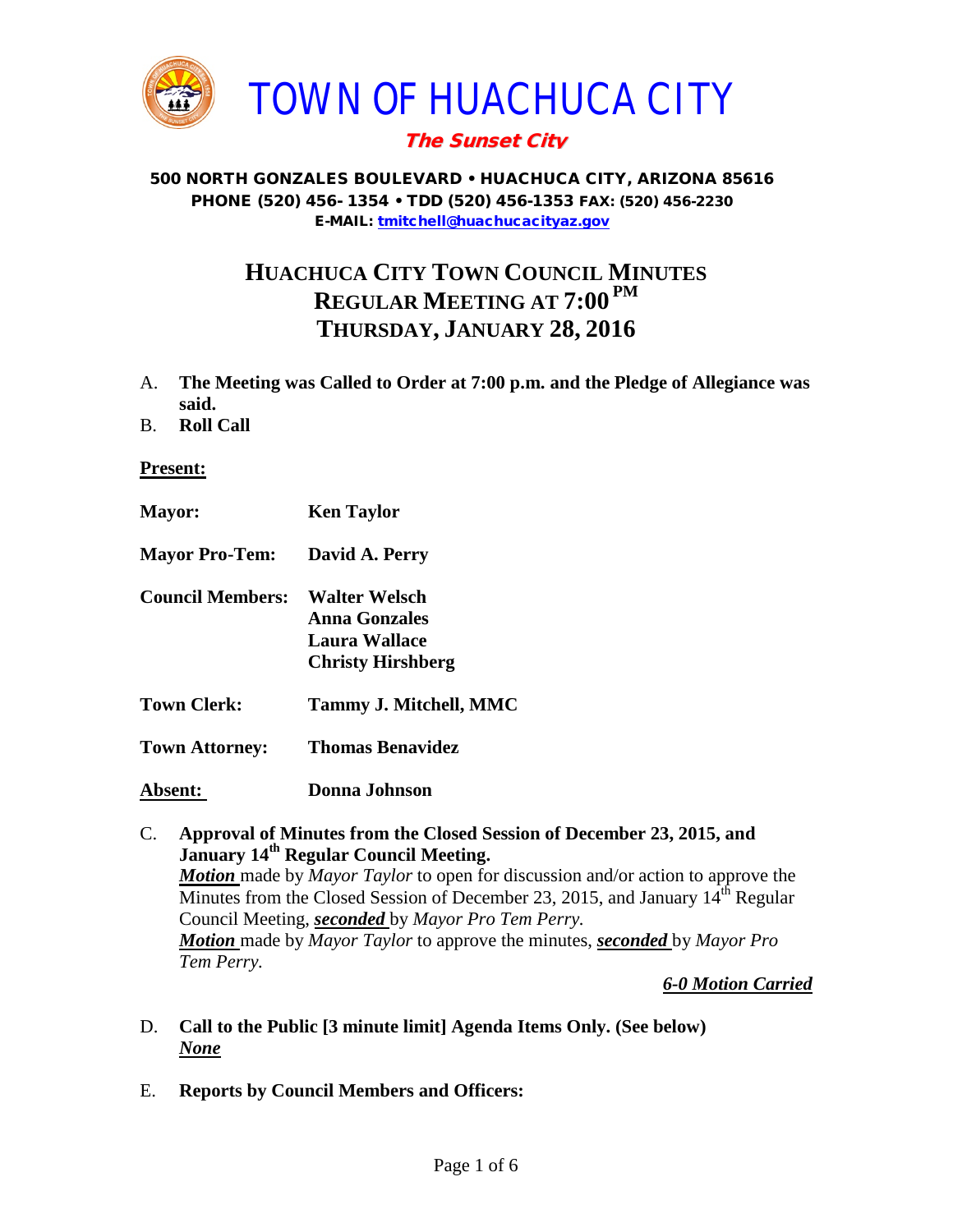

# The Sunset City

#### 500 NORTH GONZALES BOULEVARD • HUACHUCA CITY, ARIZONA 85616 PHONE (520) 456- 1354 • TDD (520) 456-1353 FAX: (520) 456-2230 E-MAIL: [tmitchell@huachucacityaz.gov](mailto:tmitchell@huachucacityaz.gov)

# **HUACHUCA CITY TOWN COUNCIL MINUTES REGULAR MEETING AT 7:00 PM THURSDAY, JANUARY 28, 2016**

- A. **The Meeting was Called to Order at 7:00 p.m. and the Pledge of Allegiance was said.**
- B. **Roll Call**

#### **Present:**

- **Mayor: Ken Taylor Mayor Pro-Tem: David A. Perry Council Members: Walter Welsch Anna Gonzales Laura Wallace Christy Hirshberg Town Clerk: Tammy J. Mitchell, MMC Town Attorney: Thomas Benavidez Absent: Donna Johnson**
- C. **Approval of Minutes from the Closed Session of December 23, 2015, and January 14<sup>th</sup> Regular Council Meeting.** *Motion* made by *Mayor Taylor* to open for discussion and/or action to approve the Minutes from the Closed Session of December 23, 2015, and January  $14^{\text{th}}$  Regular Council Meeting, *seconded* by *Mayor Pro Tem Perry. Motion* made by *Mayor Taylor* to approve the minutes, *seconded* by *Mayor Pro Tem Perry.*

*6-0 Motion Carried*

- D. **Call to the Public [3 minute limit] Agenda Items Only. (See below)** *None*
- E. **Reports by Council Members and Officers:**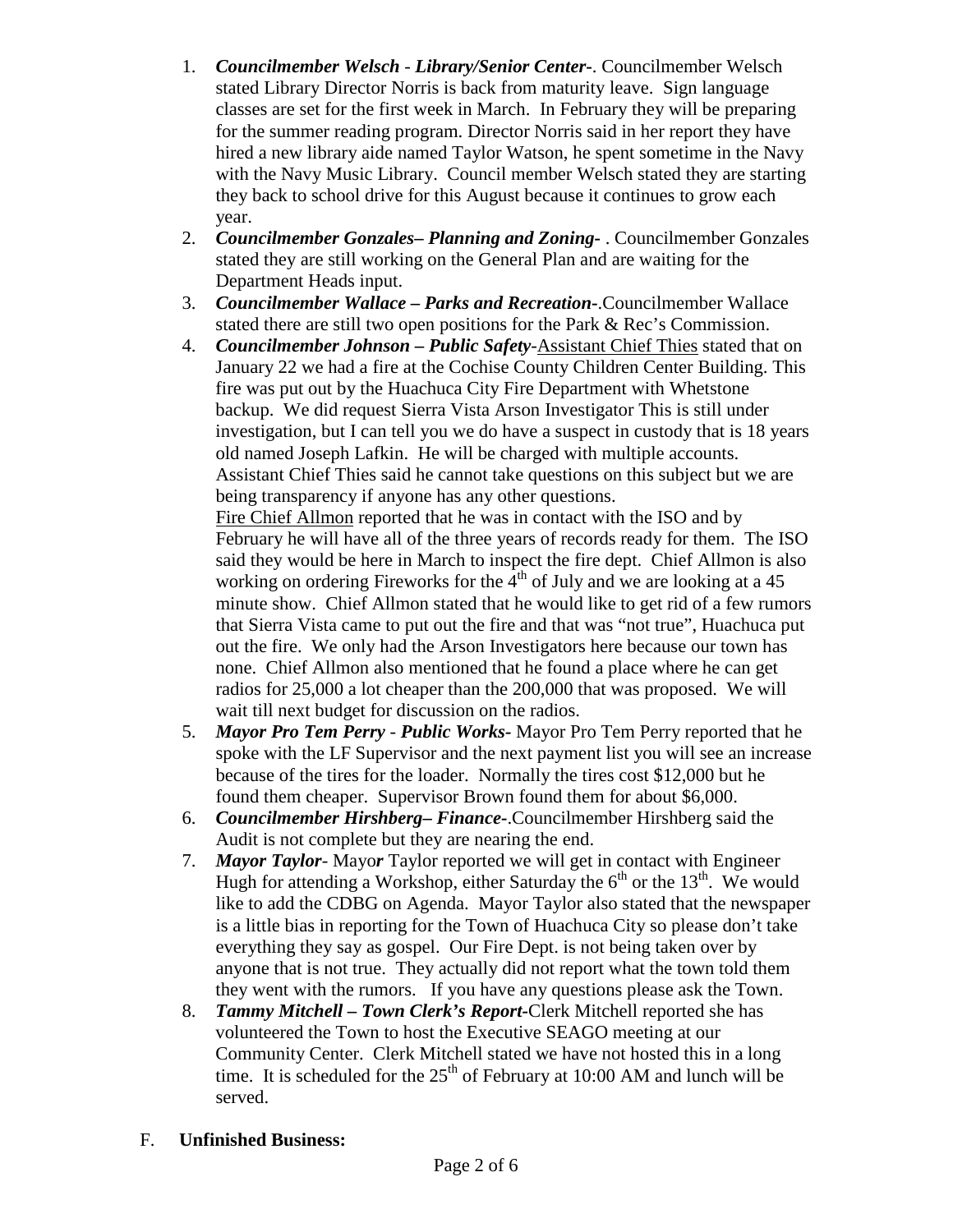- 1. *Councilmember Welsch - Library/Senior Center***-**. Councilmember Welsch stated Library Director Norris is back from maturity leave. Sign language classes are set for the first week in March. In February they will be preparing for the summer reading program. Director Norris said in her report they have hired a new library aide named Taylor Watson, he spent sometime in the Navy with the Navy Music Library. Council member Welsch stated they are starting they back to school drive for this August because it continues to grow each year.
- 2. *Councilmember Gonzales***–** *Planning and Zoning-* . Councilmember Gonzales stated they are still working on the General Plan and are waiting for the Department Heads input.
- 3. *Councilmember Wallace* **–** *Parks and Recreation***-**.Councilmember Wallace stated there are still two open positions for the Park & Rec's Commission.
- 4. *Councilmember Johnson – Public Safety-*Assistant Chief Thies stated that on January 22 we had a fire at the Cochise County Children Center Building. This fire was put out by the Huachuca City Fire Department with Whetstone backup. We did request Sierra Vista Arson Investigator This is still under investigation, but I can tell you we do have a suspect in custody that is 18 years old named Joseph Lafkin. He will be charged with multiple accounts. Assistant Chief Thies said he cannot take questions on this subject but we are being transparency if anyone has any other questions. Fire Chief Allmon reported that he was in contact with the ISO and by

February he will have all of the three years of records ready for them. The ISO said they would be here in March to inspect the fire dept. Chief Allmon is also working on ordering Fireworks for the  $4<sup>th</sup>$  of July and we are looking at a 45 minute show. Chief Allmon stated that he would like to get rid of a few rumors that Sierra Vista came to put out the fire and that was "not true", Huachuca put out the fire. We only had the Arson Investigators here because our town has none. Chief Allmon also mentioned that he found a place where he can get radios for 25,000 a lot cheaper than the 200,000 that was proposed. We will wait till next budget for discussion on the radios.

- 5. *Mayor Pro Tem Perry Public Works-* Mayor Pro Tem Perry reported that he spoke with the LF Supervisor and the next payment list you will see an increase because of the tires for the loader. Normally the tires cost \$12,000 but he found them cheaper. Supervisor Brown found them for about \$6,000.
- 6. *Councilmember Hirshberg***–** *Finance-*.Councilmember Hirshberg said the Audit is not complete but they are nearing the end.
- 7. *Mayor Taylor* Mayo*r* Taylor reported we will get in contact with Engineer Hugh for attending a Workshop, either Saturday the  $6<sup>th</sup>$  or the 13<sup>th</sup>. We would like to add the CDBG on Agenda. Mayor Taylor also stated that the newspaper is a little bias in reporting for the Town of Huachuca City so please don't take everything they say as gospel. Our Fire Dept. is not being taken over by anyone that is not true. They actually did not report what the town told them they went with the rumors. If you have any questions please ask the Town.
- 8. *Tammy Mitchell – Town Clerk's Report-*Clerk Mitchell reported she has volunteered the Town to host the Executive SEAGO meeting at our Community Center. Clerk Mitchell stated we have not hosted this in a long time. It is scheduled for the  $25<sup>th</sup>$  of February at 10:00 AM and lunch will be served.
- F. **Unfinished Business:**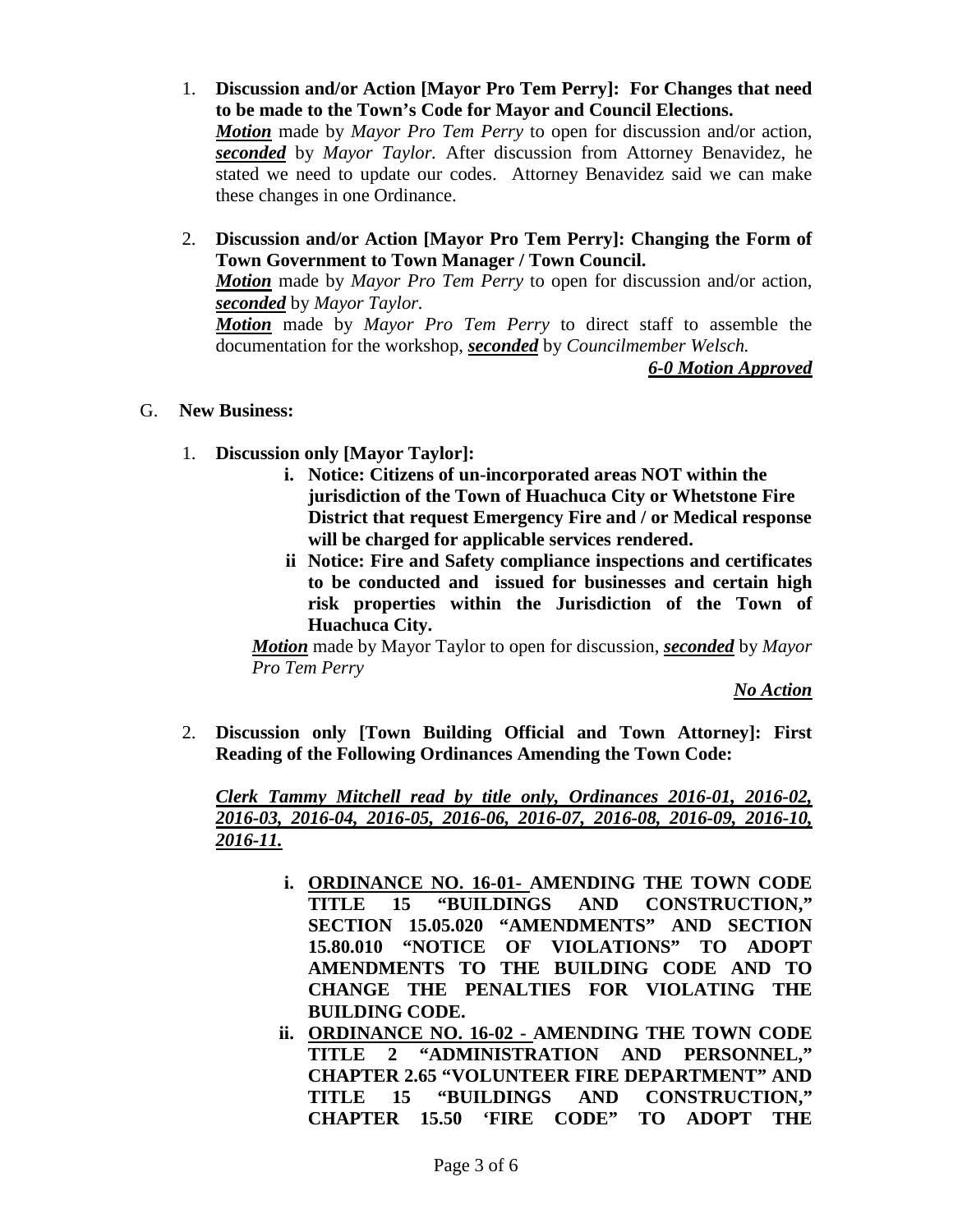- 1. **Discussion and/or Action [Mayor Pro Tem Perry]: For Changes that need to be made to the Town's Code for Mayor and Council Elections.** *Motion* made by *Mayor Pro Tem Perry* to open for discussion and/or action, *seconded* by *Mayor Taylor.* After discussion from Attorney Benavidez, he stated we need to update our codes. Attorney Benavidez said we can make these changes in one Ordinance.
- 2. **Discussion and/or Action [Mayor Pro Tem Perry]: Changing the Form of Town Government to Town Manager / Town Council.**

*Motion* made by *Mayor Pro Tem Perry* to open for discussion and/or action, *seconded* by *Mayor Taylor.*

*Motion* made by *Mayor Pro Tem Perry* to direct staff to assemble the documentation for the workshop, *seconded* by *Councilmember Welsch.*

*6-0 Motion Approved*

- G. **New Business:** 
	- 1. **Discussion only [Mayor Taylor]:** 
		- **i. Notice: Citizens of un-incorporated areas NOT within the jurisdiction of the Town of Huachuca City or Whetstone Fire District that request Emergency Fire and / or Medical response will be charged for applicable services rendered.**
		- **ii Notice: Fire and Safety compliance inspections and certificates to be conducted and issued for businesses and certain high risk properties within the Jurisdiction of the Town of Huachuca City.**

*Motion* made by Mayor Taylor to open for discussion, *seconded* by *Mayor Pro Tem Perry*

*No Action*

2. **Discussion only [Town Building Official and Town Attorney]: First Reading of the Following Ordinances Amending the Town Code:**

*Clerk Tammy Mitchell read by title only, Ordinances 2016-01, 2016-02, 2016-03, 2016-04, 2016-05, 2016-06, 2016-07, 2016-08, 2016-09, 2016-10, 2016-11.*

- **i. ORDINANCE NO. 16-01- AMENDING THE TOWN CODE TITLE 15 "BUILDINGS AND CONSTRUCTION," SECTION 15.05.020 "AMENDMENTS" AND SECTION 15.80.010 "NOTICE OF VIOLATIONS" TO ADOPT AMENDMENTS TO THE BUILDING CODE AND TO CHANGE THE PENALTIES FOR VIOLATING THE BUILDING CODE.**
- **ii. ORDINANCE NO. 16-02 - AMENDING THE TOWN CODE TITLE 2 "ADMINISTRATION AND PERSONNEL," CHAPTER 2.65 "VOLUNTEER FIRE DEPARTMENT" AND TITLE 15 "BUILDINGS AND CONSTRUCTION," CHAPTER 15.50 'FIRE CODE" TO ADOPT THE**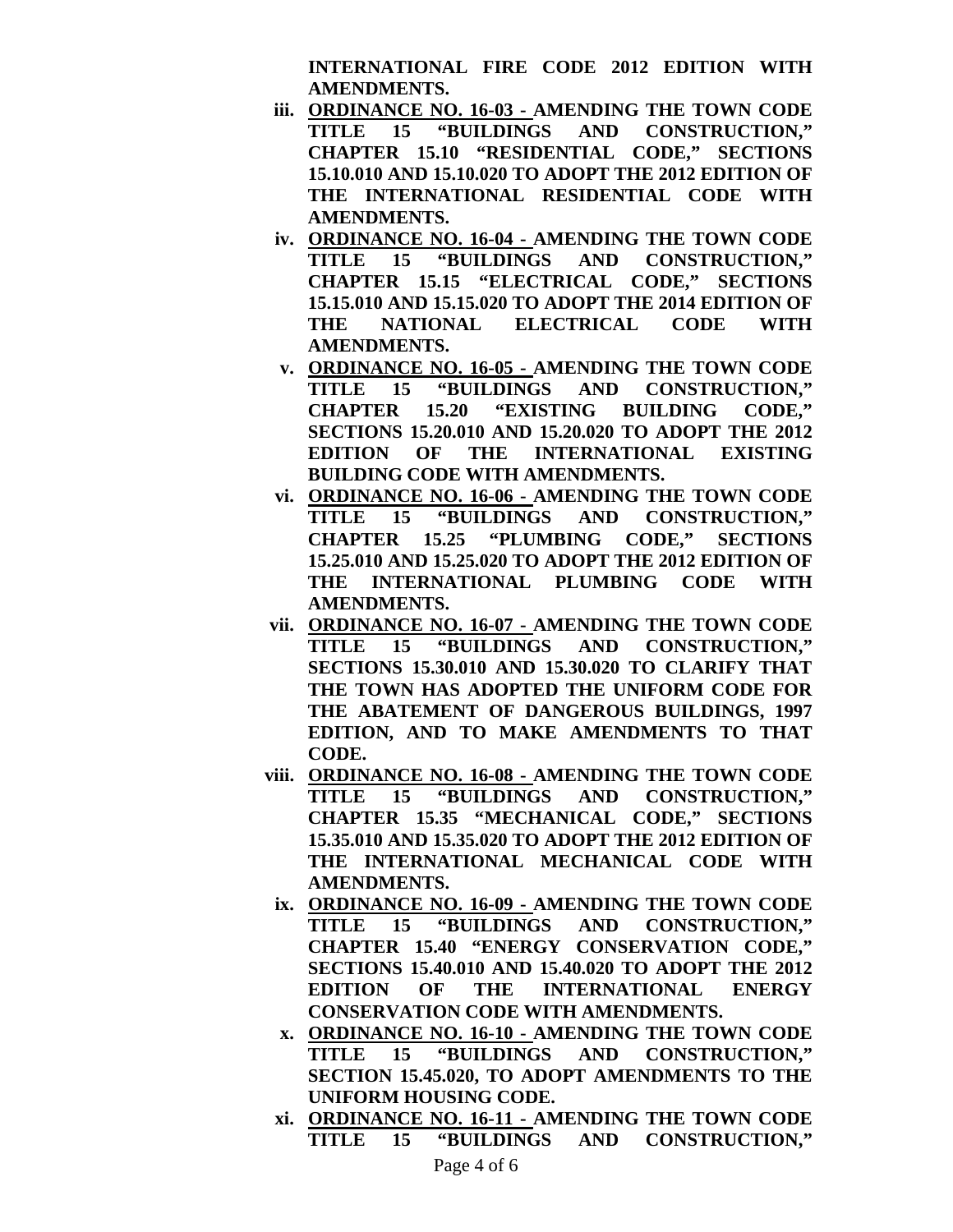**INTERNATIONAL FIRE CODE 2012 EDITION WITH AMENDMENTS.**

- **iii. ORDINANCE NO. 16-03 - AMENDING THE TOWN CODE TITLE 15 "BUILDINGS AND CONSTRUCTION," CHAPTER 15.10 "RESIDENTIAL CODE," SECTIONS 15.10.010 AND 15.10.020 TO ADOPT THE 2012 EDITION OF THE INTERNATIONAL RESIDENTIAL CODE WITH AMENDMENTS.**
- **iv. ORDINANCE NO. 16-04 - AMENDING THE TOWN CODE TITLE 15 "BUILDINGS AND CONSTRUCTION," CHAPTER 15.15 "ELECTRICAL CODE," SECTIONS 15.15.010 AND 15.15.020 TO ADOPT THE 2014 EDITION OF THE NATIONAL ELECTRICAL CODE WITH AMENDMENTS.**
- **v. ORDINANCE NO. 16-05 - AMENDING THE TOWN CODE TITLE 15 "BUILDINGS AND CONSTRUCTION," CHAPTER 15.20 "EXISTING BUILDING CODE," SECTIONS 15.20.010 AND 15.20.020 TO ADOPT THE 2012 EDITION OF THE INTERNATIONAL EXISTING BUILDING CODE WITH AMENDMENTS.**
- **vi. ORDINANCE NO. 16-06 - AMENDING THE TOWN CODE TITLE 15 "BUILDINGS AND CONSTRUCTION," CHAPTER 15.25 "PLUMBING CODE," SECTIONS 15.25.010 AND 15.25.020 TO ADOPT THE 2012 EDITION OF THE INTERNATIONAL PLUMBING CODE WITH AMENDMENTS.**
- **vii. ORDINANCE NO. 16-07 - AMENDING THE TOWN CODE TITLE 15 "BUILDINGS AND CONSTRUCTION," SECTIONS 15.30.010 AND 15.30.020 TO CLARIFY THAT THE TOWN HAS ADOPTED THE UNIFORM CODE FOR THE ABATEMENT OF DANGEROUS BUILDINGS, 1997 EDITION, AND TO MAKE AMENDMENTS TO THAT CODE.**
- **viii. ORDINANCE NO. 16-08 - AMENDING THE TOWN CODE TITLE 15 "BUILDINGS AND CONSTRUCTION," CHAPTER 15.35 "MECHANICAL CODE," SECTIONS 15.35.010 AND 15.35.020 TO ADOPT THE 2012 EDITION OF THE INTERNATIONAL MECHANICAL CODE WITH AMENDMENTS.**
- **ix. ORDINANCE NO. 16-09 - AMENDING THE TOWN CODE TITLE 15 "BUILDINGS AND CONSTRUCTION," CHAPTER 15.40 "ENERGY CONSERVATION CODE," SECTIONS 15.40.010 AND 15.40.020 TO ADOPT THE 2012 EDITION OF THE INTERNATIONAL ENERGY CONSERVATION CODE WITH AMENDMENTS.**
- **x. ORDINANCE NO. 16-10 - AMENDING THE TOWN CODE TITLE 15 "BUILDINGS AND CONSTRUCTION," SECTION 15.45.020, TO ADOPT AMENDMENTS TO THE UNIFORM HOUSING CODE.**
- **xi. ORDINANCE NO. 16-11 - AMENDING THE TOWN CODE TITLE 15 "BUILDINGS AND CONSTRUCTION,"**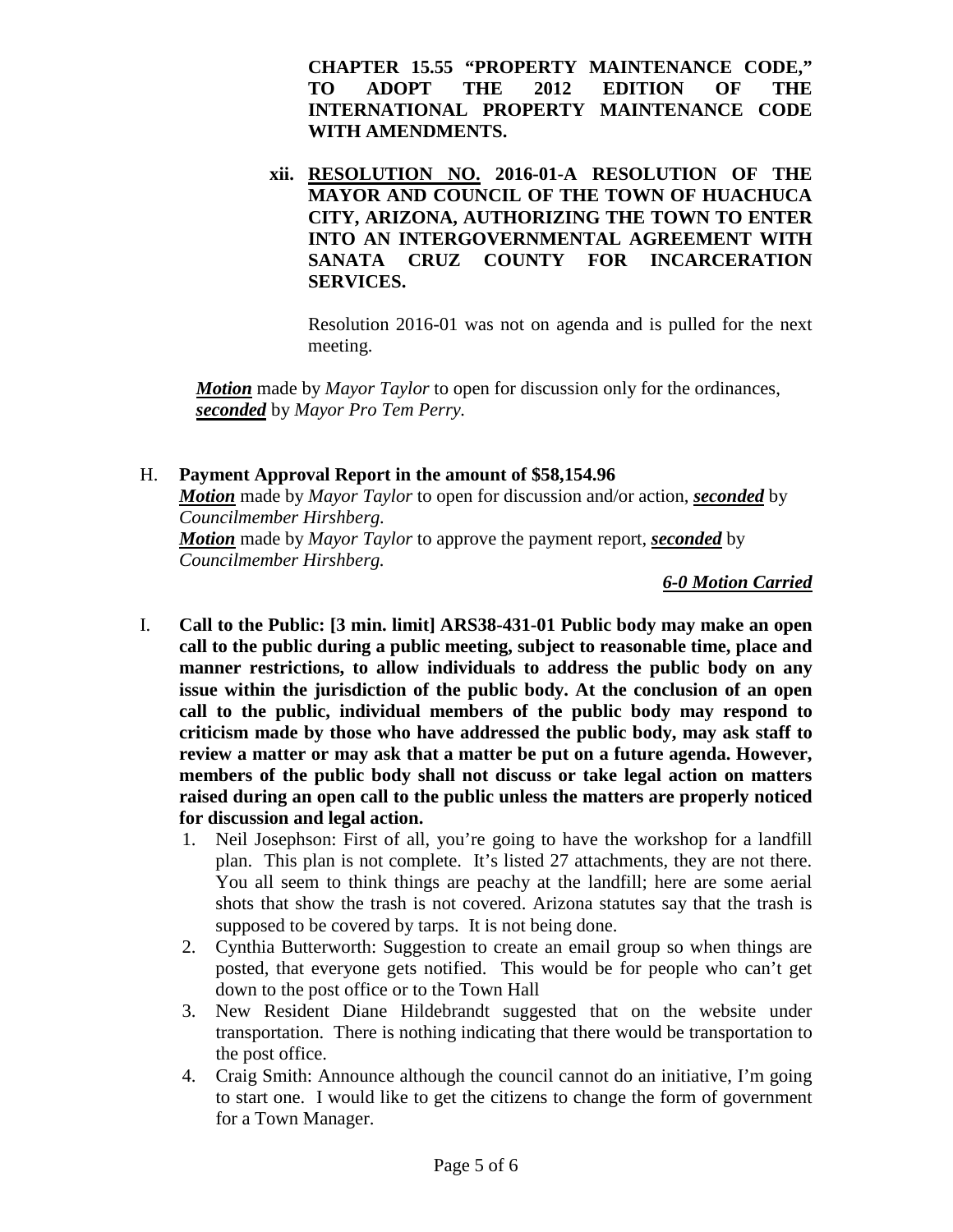**CHAPTER 15.55 "PROPERTY MAINTENANCE CODE," TO ADOPT THE 2012 EDITION OF THE INTERNATIONAL PROPERTY MAINTENANCE CODE WITH AMENDMENTS.**

**xii. RESOLUTION NO. 2016-01-A RESOLUTION OF THE MAYOR AND COUNCIL OF THE TOWN OF HUACHUCA CITY, ARIZONA, AUTHORIZING THE TOWN TO ENTER INTO AN INTERGOVERNMENTAL AGREEMENT WITH SANATA CRUZ COUNTY FOR INCARCERATION SERVICES.**

Resolution 2016-01 was not on agenda and is pulled for the next meeting.

*Motion* made by *Mayor Taylor* to open for discussion only for the ordinances, *seconded* by *Mayor Pro Tem Perry.*

## H. **Payment Approval Report in the amount of \$58,154.96**

*Motion* made by *Mayor Taylor* to open for discussion and/or action, *seconded* by *Councilmember Hirshberg.*

*Motion* made by *Mayor Taylor* to approve the payment report, *seconded* by *Councilmember Hirshberg.*

*6-0 Motion Carried*

- I. **Call to the Public: [3 min. limit] ARS38-431-01 Public body may make an open call to the public during a public meeting, subject to reasonable time, place and manner restrictions, to allow individuals to address the public body on any issue within the jurisdiction of the public body. At the conclusion of an open call to the public, individual members of the public body may respond to criticism made by those who have addressed the public body, may ask staff to review a matter or may ask that a matter be put on a future agenda. However, members of the public body shall not discuss or take legal action on matters raised during an open call to the public unless the matters are properly noticed for discussion and legal action.**
	- 1. Neil Josephson: First of all, you're going to have the workshop for a landfill plan. This plan is not complete. It's listed 27 attachments, they are not there. You all seem to think things are peachy at the landfill; here are some aerial shots that show the trash is not covered. Arizona statutes say that the trash is supposed to be covered by tarps. It is not being done.
	- 2. Cynthia Butterworth: Suggestion to create an email group so when things are posted, that everyone gets notified. This would be for people who can't get down to the post office or to the Town Hall
	- 3. New Resident Diane Hildebrandt suggested that on the website under transportation. There is nothing indicating that there would be transportation to the post office.
	- 4. Craig Smith: Announce although the council cannot do an initiative, I'm going to start one. I would like to get the citizens to change the form of government for a Town Manager.